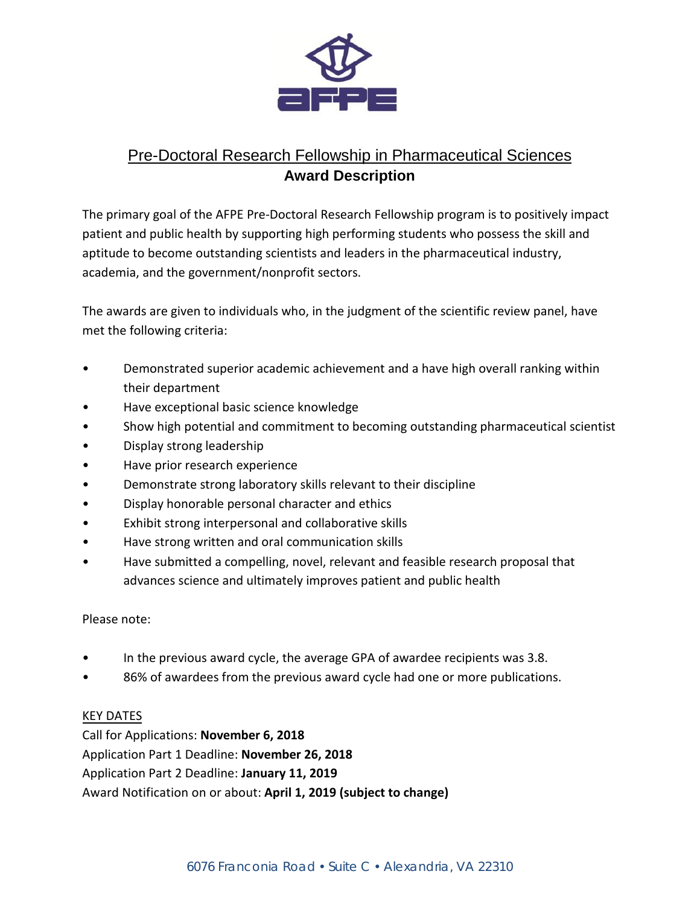

# Pre-Doctoral Research Fellowship in Pharmaceutical Sciences **Award Description**

The primary goal of the AFPE Pre-Doctoral Research Fellowship program is to positively impact patient and public health by supporting high performing students who possess the skill and aptitude to become outstanding scientists and leaders in the pharmaceutical industry, academia, and the government/nonprofit sectors.

The awards are given to individuals who, in the judgment of the scientific review panel, have met the following criteria:

- Demonstrated superior academic achievement and a have high overall ranking within their department
- Have exceptional basic science knowledge
- Show high potential and commitment to becoming outstanding pharmaceutical scientist
- Display strong leadership
- Have prior research experience
- Demonstrate strong laboratory skills relevant to their discipline
- Display honorable personal character and ethics
- Exhibit strong interpersonal and collaborative skills
- Have strong written and oral communication skills
- Have submitted a compelling, novel, relevant and feasible research proposal that advances science and ultimately improves patient and public health

## Please note:

- In the previous award cycle, the average GPA of awardee recipients was 3.8.
- 86% of awardees from the previous award cycle had one or more publications.

## KEY DATES

Call for Applications: **November 6, 2018** Application Part 1 Deadline: **November 26, 2018** Application Part 2 Deadline: **January 11, 2019** Award Notification on or about: **April 1, 2019 (subject to change)**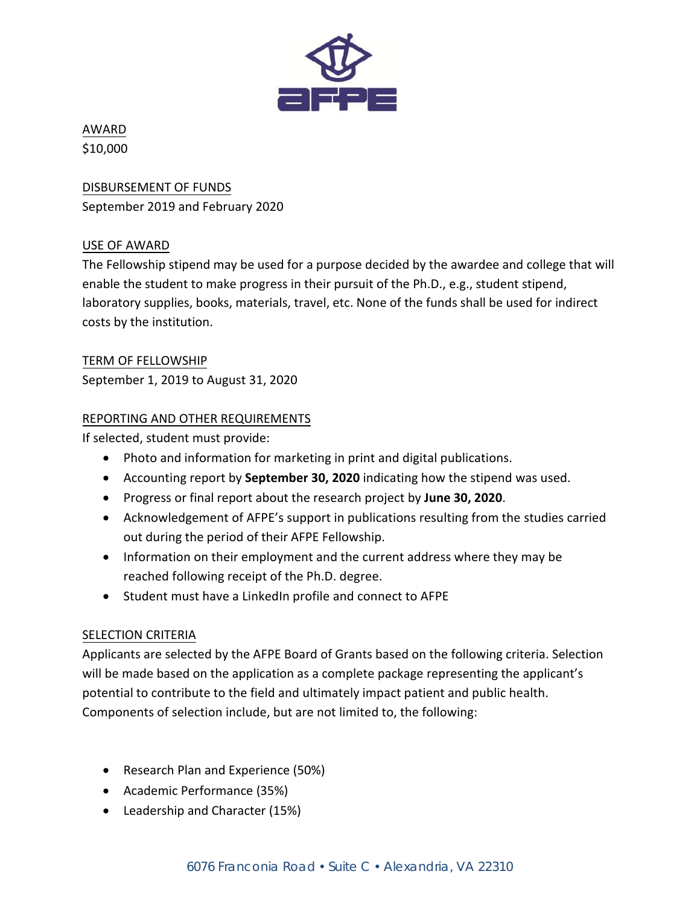

## AWARD \$10,000

DISBURSEMENT OF FUNDS September 2019 and February 2020

## USE OF AWARD

The Fellowship stipend may be used for a purpose decided by the awardee and college that will enable the student to make progress in their pursuit of the Ph.D., e.g., student stipend, laboratory supplies, books, materials, travel, etc. None of the funds shall be used for indirect costs by the institution.

TERM OF FELLOWSHIP September 1, 2019 to August 31, 2020

## REPORTING AND OTHER REQUIREMENTS

If selected, student must provide:

- Photo and information for marketing in print and digital publications.
- Accounting report by **September 30, 2020** indicating how the stipend was used.
- Progress or final report about the research project by **June 30, 2020**.
- Acknowledgement of AFPE's support in publications resulting from the studies carried out during the period of their AFPE Fellowship.
- Information on their employment and the current address where they may be reached following receipt of the Ph.D. degree.
- Student must have a LinkedIn profile and connect to AFPE

## SELECTION CRITERIA

Applicants are selected by the AFPE Board of Grants based on the following criteria. Selection will be made based on the application as a complete package representing the applicant's potential to contribute to the field and ultimately impact patient and public health. Components of selection include, but are not limited to, the following:

- Research Plan and Experience (50%)
- Academic Performance (35%)
- Leadership and Character (15%)